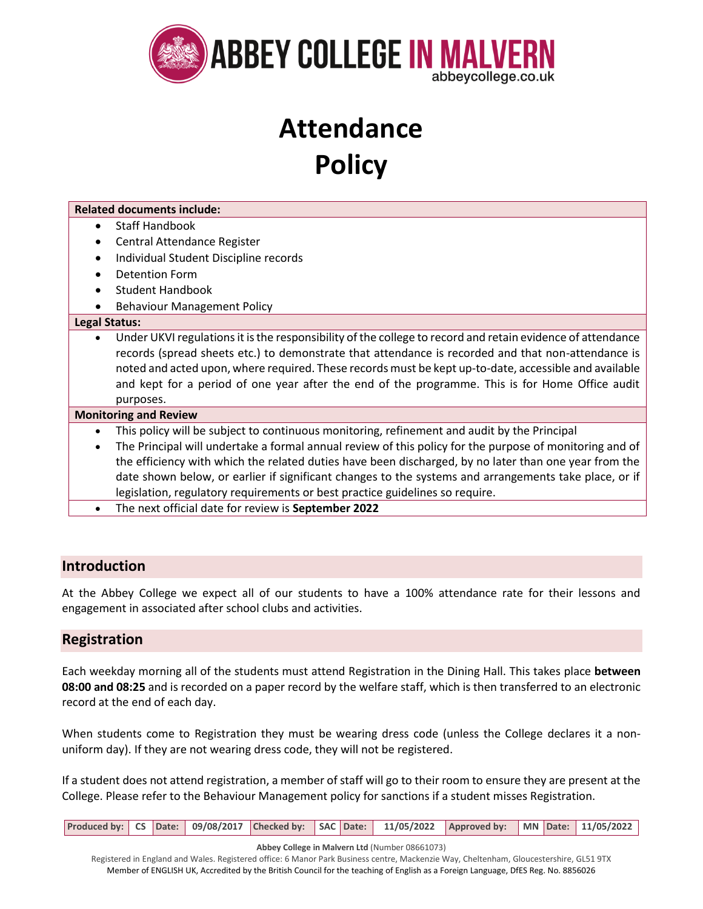

## **Attendance Policy**

| <b>Related documents include:</b>                                                                                                                                                                                                                                                                                                                                                                                                                                                                                                                               |
|-----------------------------------------------------------------------------------------------------------------------------------------------------------------------------------------------------------------------------------------------------------------------------------------------------------------------------------------------------------------------------------------------------------------------------------------------------------------------------------------------------------------------------------------------------------------|
| <b>Staff Handbook</b>                                                                                                                                                                                                                                                                                                                                                                                                                                                                                                                                           |
| Central Attendance Register                                                                                                                                                                                                                                                                                                                                                                                                                                                                                                                                     |
| Individual Student Discipline records                                                                                                                                                                                                                                                                                                                                                                                                                                                                                                                           |
| <b>Detention Form</b>                                                                                                                                                                                                                                                                                                                                                                                                                                                                                                                                           |
| <b>Student Handbook</b><br>$\bullet$                                                                                                                                                                                                                                                                                                                                                                                                                                                                                                                            |
| <b>Behaviour Management Policy</b>                                                                                                                                                                                                                                                                                                                                                                                                                                                                                                                              |
| <b>Legal Status:</b>                                                                                                                                                                                                                                                                                                                                                                                                                                                                                                                                            |
| Under UKVI regulations it is the responsibility of the college to record and retain evidence of attendance<br>$\bullet$<br>records (spread sheets etc.) to demonstrate that attendance is recorded and that non-attendance is<br>noted and acted upon, where required. These records must be kept up-to-date, accessible and available<br>and kept for a period of one year after the end of the programme. This is for Home Office audit<br>purposes.                                                                                                          |
| <b>Monitoring and Review</b>                                                                                                                                                                                                                                                                                                                                                                                                                                                                                                                                    |
| This policy will be subject to continuous monitoring, refinement and audit by the Principal<br>The Principal will undertake a formal annual review of this policy for the purpose of monitoring and of<br>the efficiency with which the related duties have been discharged, by no later than one year from the<br>date shown below, or earlier if significant changes to the systems and arrangements take place, or if<br>legislation, regulatory requirements or best practice guidelines so require.<br>The next official date for review is September 2022 |

## **Introduction**

At the Abbey College we expect all of our students to have a 100% attendance rate for their lessons and engagement in associated after school clubs and activities.

## **Registration**

Each weekday morning all of the students must attend Registration in the Dining Hall. This takes place **between 08:00 and 08:25** and is recorded on a paper record by the welfare staff, which is then transferred to an electronic record at the end of each day.

When students come to Registration they must be wearing dress code (unless the College declares it a nonuniform day). If they are not wearing dress code, they will not be registered.

If a student does not attend registration, a member of staff will go to their room to ensure they are present at the College. Please refer to the Behaviour Management policy for sanctions if a student misses Registration.

| Produced by: CS Date: 09/08/2017 Checked by: SAC Date: 11/05/2022 Approved by: MN Date: 11/05/2022 |  |
|----------------------------------------------------------------------------------------------------|--|
|----------------------------------------------------------------------------------------------------|--|

**Abbey College in Malvern Ltd** (Number 08661073)

Registered in England and Wales. Registered office: 6 Manor Park Business centre, Mackenzie Way, Cheltenham, Gloucestershire, GL51 9TX Member of ENGLISH UK, Accredited by the British Council for the teaching of English as a Foreign Language, DfES Reg. No. 8856026